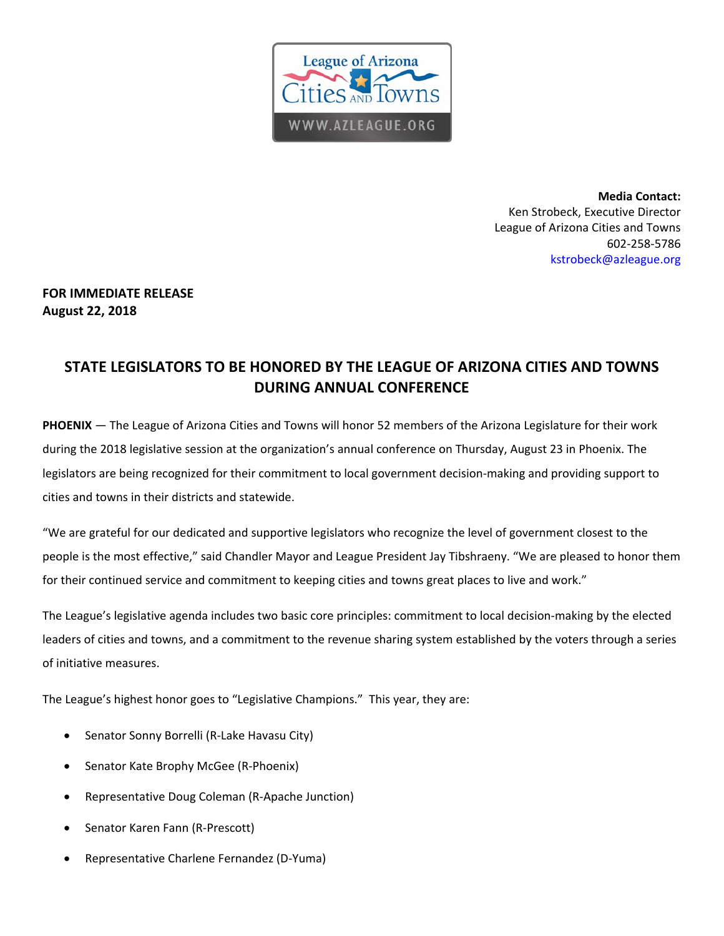

**Media Contact:**  Ken Strobeck, Executive Director League of Arizona Cities and Towns 602‐258‐5786 kstrobeck@azleague.org

## **FOR IMMEDIATE RELEASE August 22, 2018**

## **STATE LEGISLATORS TO BE HONORED BY THE LEAGUE OF ARIZONA CITIES AND TOWNS DURING ANNUAL CONFERENCE**

**PHOENIX** — The League of Arizona Cities and Towns will honor 52 members of the Arizona Legislature for their work during the 2018 legislative session at the organization's annual conference on Thursday, August 23 in Phoenix. The legislators are being recognized for their commitment to local government decision‐making and providing support to cities and towns in their districts and statewide.

"We are grateful for our dedicated and supportive legislators who recognize the level of government closest to the people is the most effective," said Chandler Mayor and League President Jay Tibshraeny. "We are pleased to honor them for their continued service and commitment to keeping cities and towns great places to live and work."

The League's legislative agenda includes two basic core principles: commitment to local decision-making by the elected leaders of cities and towns, and a commitment to the revenue sharing system established by the voters through a series of initiative measures.

The League's highest honor goes to "Legislative Champions." This year, they are:

- Senator Sonny Borrelli (R‐Lake Havasu City)
- Senator Kate Brophy McGee (R‐Phoenix)
- Representative Doug Coleman (R‐Apache Junction)
- Senator Karen Fann (R‐Prescott)
- Representative Charlene Fernandez (D‐Yuma)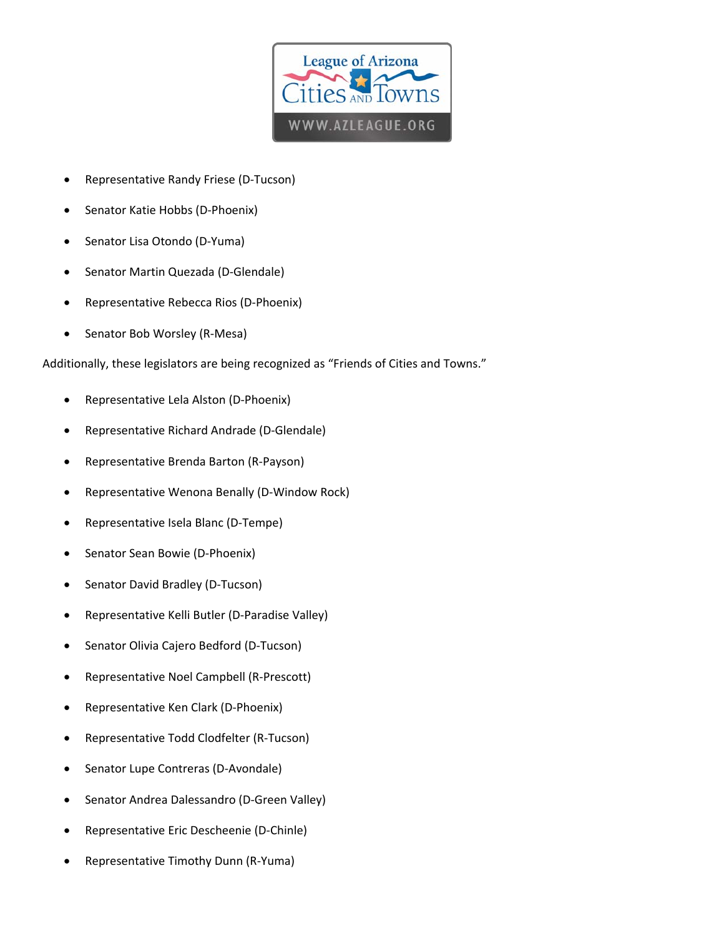

- Representative Randy Friese (D‐Tucson)
- Senator Katie Hobbs (D‐Phoenix)
- Senator Lisa Otondo (D‐Yuma)
- Senator Martin Quezada (D‐Glendale)
- Representative Rebecca Rios (D‐Phoenix)
- Senator Bob Worsley (R‐Mesa)

Additionally, these legislators are being recognized as "Friends of Cities and Towns."

- Representative Lela Alston (D-Phoenix)
- Representative Richard Andrade (D‐Glendale)
- Representative Brenda Barton (R‐Payson)
- Representative Wenona Benally (D‐Window Rock)
- Representative Isela Blanc (D‐Tempe)
- Senator Sean Bowie (D‐Phoenix)
- Senator David Bradley (D‐Tucson)
- Representative Kelli Butler (D‐Paradise Valley)
- Senator Olivia Cajero Bedford (D‐Tucson)
- Representative Noel Campbell (R‐Prescott)
- Representative Ken Clark (D‐Phoenix)
- Representative Todd Clodfelter (R‐Tucson)
- Senator Lupe Contreras (D‐Avondale)
- Senator Andrea Dalessandro (D‐Green Valley)
- Representative Eric Descheenie (D‐Chinle)
- Representative Timothy Dunn (R‐Yuma)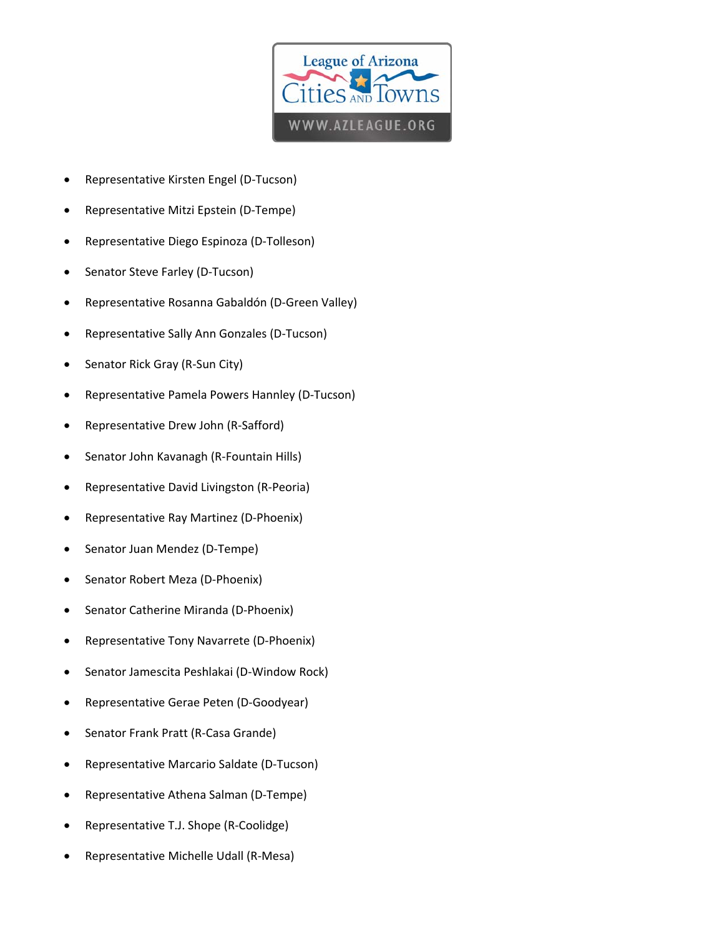

- Representative Kirsten Engel (D‐Tucson)
- Representative Mitzi Epstein (D‐Tempe)
- Representative Diego Espinoza (D‐Tolleson)
- Senator Steve Farley (D‐Tucson)
- Representative Rosanna Gabaldón (D‐Green Valley)
- Representative Sally Ann Gonzales (D‐Tucson)
- Senator Rick Gray (R‐Sun City)
- Representative Pamela Powers Hannley (D‐Tucson)
- Representative Drew John (R‐Safford)
- Senator John Kavanagh (R‐Fountain Hills)
- Representative David Livingston (R‐Peoria)
- Representative Ray Martinez (D‐Phoenix)
- Senator Juan Mendez (D‐Tempe)
- Senator Robert Meza (D‐Phoenix)
- Senator Catherine Miranda (D‐Phoenix)
- Representative Tony Navarrete (D‐Phoenix)
- Senator Jamescita Peshlakai (D‐Window Rock)
- Representative Gerae Peten (D‐Goodyear)
- Senator Frank Pratt (R‐Casa Grande)
- Representative Marcario Saldate (D‐Tucson)
- Representative Athena Salman (D‐Tempe)
- Representative T.J. Shope (R‐Coolidge)
- Representative Michelle Udall (R‐Mesa)